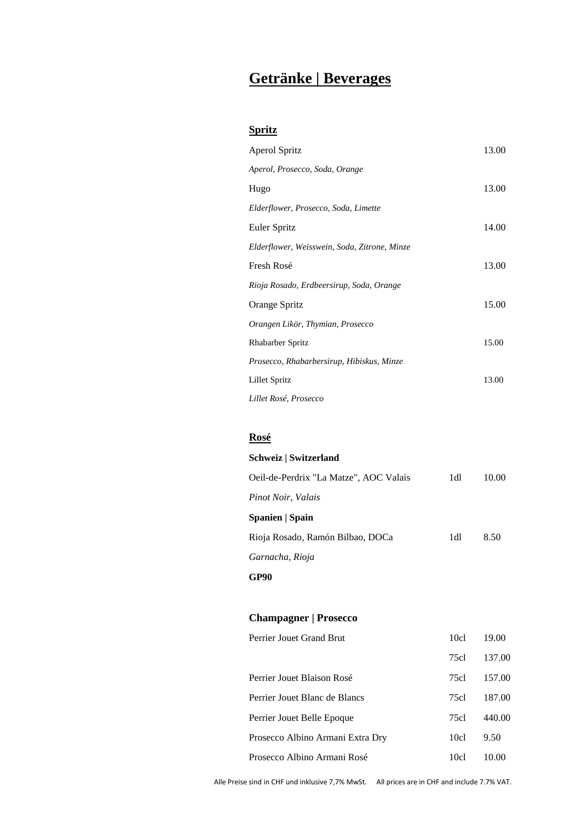# **Getränke | Beverages**

#### **Spritz**

| Aperol Spritz                                | 13.00 |
|----------------------------------------------|-------|
| Aperol, Prosecco, Soda, Orange               |       |
| Hugo                                         | 13.00 |
| Elderflower, Prosecco, Soda, Limette         |       |
| Euler Spritz                                 | 14.00 |
| Elderflower, Weisswein, Soda, Zitrone, Minze |       |
| Fresh Rosé                                   | 13.00 |
| Rioja Rosado, Erdbeersirup, Soda, Orange     |       |
| Orange Spritz                                | 15.00 |
| Orangen Likör, Thymian, Prosecco             |       |
| <b>Rhabarber Spritz</b>                      | 15.00 |
| Prosecco, Rhabarbersirup, Hibiskus, Minze    |       |
| Lillet Spritz                                | 13.00 |
| Lillet Rosé, Prosecco                        |       |

### **Rosé**

| 1dl | 10.00 |
|-----|-------|
|     |       |
|     |       |
| 1dl | 8.50  |
|     |       |
|     |       |
|     |       |

### **Champagner | Prosecco**

| Perrier Jouet Grand Brut         | 10cl | 19.00  |
|----------------------------------|------|--------|
|                                  | 75cl | 137.00 |
| Perrier Jouet Blaison Rosé       | 75cl | 157.00 |
| Perrier Jouet Blanc de Blancs    | 75cl | 187.00 |
| Perrier Jouet Belle Epoque       | 75cl | 440.00 |
| Prosecco Albino Armani Extra Dry | 10cl | 9.50   |
| Prosecco Albino Armani Rosé      | 10cl |        |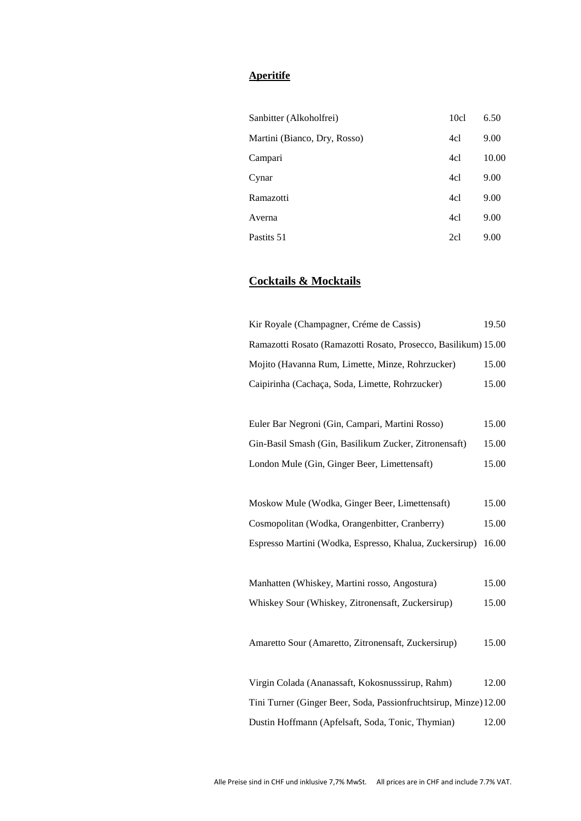#### **Aperitife**

| Sanbitter (Alkoholfrei)      | 10c1 | 6.50  |
|------------------------------|------|-------|
| Martini (Bianco, Dry, Rosso) | 4cl  | 9.00  |
| Campari                      | 4cl  | 10.00 |
| Cynar                        | 4cl  | 9.00  |
| Ramazotti                    | 4cl  | 9.00  |
| Averna                       | 4cl  | 9.00  |
| Pastits 51                   | 2cl  | 9.00  |

### **Cocktails & Mocktails**

| Kir Royale (Champagner, Créme de Cassis)                         | 19.50 |
|------------------------------------------------------------------|-------|
| Ramazotti Rosato (Ramazotti Rosato, Prosecco, Basilikum) 15.00   |       |
| Mojito (Havanna Rum, Limette, Minze, Rohrzucker)                 | 15.00 |
| Caipirinha (Cachaça, Soda, Limette, Rohrzucker)                  | 15.00 |
|                                                                  |       |
| Euler Bar Negroni (Gin, Campari, Martini Rosso)                  | 15.00 |
| Gin-Basil Smash (Gin, Basilikum Zucker, Zitronensaft)            | 15.00 |
| London Mule (Gin, Ginger Beer, Limettensaft)                     | 15.00 |
|                                                                  |       |
| Moskow Mule (Wodka, Ginger Beer, Limettensaft)                   | 15.00 |
| Cosmopolitan (Wodka, Orangenbitter, Cranberry)                   | 15.00 |
| Espresso Martini (Wodka, Espresso, Khalua, Zuckersirup)          | 16.00 |
|                                                                  |       |
| Manhatten (Whiskey, Martini rosso, Angostura)                    | 15.00 |
| Whiskey Sour (Whiskey, Zitronensaft, Zuckersirup)                | 15.00 |
|                                                                  |       |
| Amaretto Sour (Amaretto, Zitronensaft, Zuckersirup)              | 15.00 |
|                                                                  |       |
| Virgin Colada (Ananassaft, Kokosnusssirup, Rahm)                 | 12.00 |
| Tini Turner (Ginger Beer, Soda, Passionfruchtsirup, Minze) 12.00 |       |
| Dustin Hoffmann (Apfelsaft, Soda, Tonic, Thymian)                | 12.00 |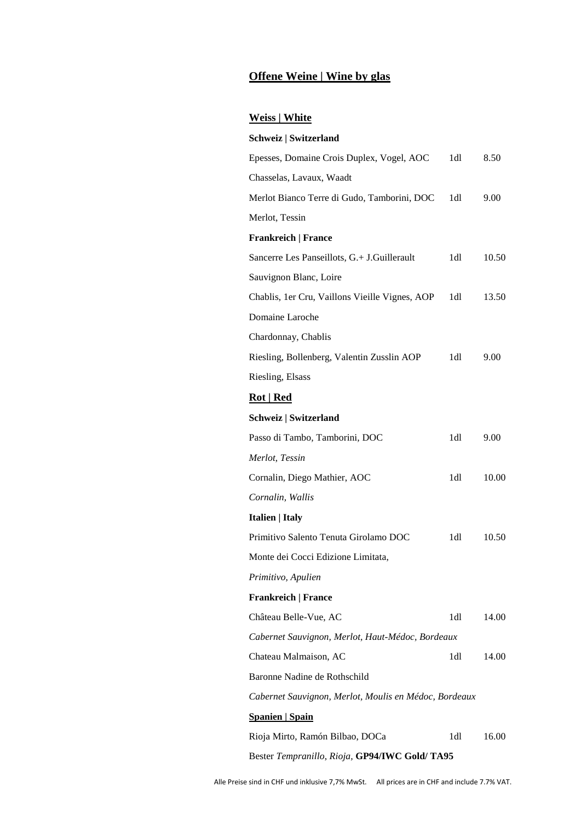### **Offene Weine | Wine by glas**

### **Weiss | White**

| Schweiz   Switzerland                                 |     |       |
|-------------------------------------------------------|-----|-------|
| Epesses, Domaine Crois Duplex, Vogel, AOC             | 1dl | 8.50  |
| Chasselas, Lavaux, Waadt                              |     |       |
| Merlot Bianco Terre di Gudo, Tamborini, DOC           | 1dl | 9.00  |
| Merlot, Tessin                                        |     |       |
| <b>Frankreich   France</b>                            |     |       |
| Sancerre Les Panseillots, G.+ J.Guillerault           | 1dl | 10.50 |
| Sauvignon Blanc, Loire                                |     |       |
| Chablis, 1er Cru, Vaillons Vieille Vignes, AOP        | 1dl | 13.50 |
| Domaine Laroche                                       |     |       |
| Chardonnay, Chablis                                   |     |       |
| Riesling, Bollenberg, Valentin Zusslin AOP            | 1dl | 9.00  |
| Riesling, Elsass                                      |     |       |
| <b>Rot</b>   <b>Red</b>                               |     |       |
| Schweiz   Switzerland                                 |     |       |
| Passo di Tambo, Tamborini, DOC                        | 1dl | 9.00  |
| Merlot, Tessin                                        |     |       |
| Cornalin, Diego Mathier, AOC                          | 1dl | 10.00 |
| Cornalin, Wallis                                      |     |       |
| Italien   Italy                                       |     |       |
| Primitivo Salento Tenuta Girolamo DOC                 | 1dl | 10.50 |
| Monte dei Cocci Edizione Limitata,                    |     |       |
| Primitivo, Apulien                                    |     |       |
| <b>Frankreich   France</b>                            |     |       |
| Château Belle-Vue, AC                                 | 1dl | 14.00 |
| Cabernet Sauvignon, Merlot, Haut-Médoc, Bordeaux      |     |       |
| Chateau Malmaison, AC                                 | 1dl | 14.00 |
| Baronne Nadine de Rothschild                          |     |       |
| Cabernet Sauvignon, Merlot, Moulis en Médoc, Bordeaux |     |       |
| <b>Spanien   Spain</b>                                |     |       |
| Rioja Mirto, Ramón Bilbao, DOCa                       | 1dl | 16.00 |
| Bester Tempranillo, Rioja, GP94/IWC Gold/TA95         |     |       |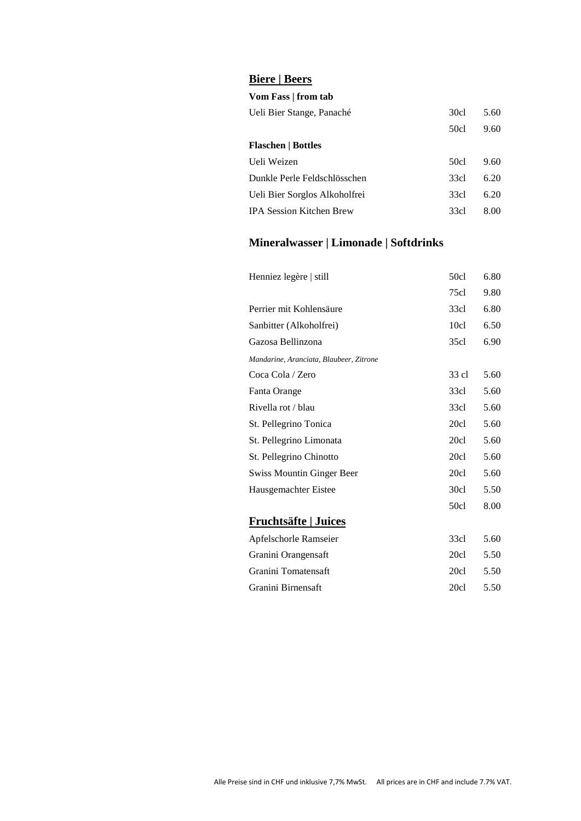### **Biere | Beers**

#### **Vom Fass | from tab**

| Ueli Bier Stange, Panaché       | 30cl | 5.60 |
|---------------------------------|------|------|
|                                 | 50cl | 9.60 |
| <b>Flaschen   Bottles</b>       |      |      |
| Ueli Weizen                     | 50cl | 9.60 |
| Dunkle Perle Feldschlösschen    | 33cl | 6.20 |
| Ueli Bier Sorglos Alkoholfrei   | 33cl | 6.20 |
| <b>IPA Session Kitchen Brew</b> | 33cl | 8.00 |
|                                 |      |      |

## **Mineralwasser | Limonade | Softdrinks**

| Henniez legère   still                  | 50c1  | 6.80 |
|-----------------------------------------|-------|------|
|                                         | 75c1  | 9.80 |
| Perrier mit Kohlensäure                 | 33c1  | 6.80 |
| Sanbitter (Alkoholfrei)                 | 10c1  | 6.50 |
| Gazosa Bellinzona                       | 35c1  | 6.90 |
| Mandarine, Aranciata, Blaubeer, Zitrone |       |      |
| Coca Cola / Zero                        | 33 cl | 5.60 |
| Fanta Orange                            | 33c1  | 5.60 |
| Rivella rot / blau                      | 33cl  | 5.60 |
| St. Pellegrino Tonica                   | 20c1  | 5.60 |
| St. Pellegrino Limonata                 | 20c1  | 5.60 |
| St. Pellegrino Chinotto                 | 20c1  | 5.60 |
| <b>Swiss Mountin Ginger Beer</b>        | 20c1  | 5.60 |
| Hausgemachter Eistee                    | 30c1  | 5.50 |
|                                         | 50c1  | 8.00 |
| <b>Fruchtsäfte   Juices</b>             |       |      |
| Apfelschorle Ramseier                   | 33c1  | 5.60 |
| Granini Orangensaft                     | 20c1  | 5.50 |
| Granini Tomatensaft                     | 20c1  | 5.50 |
| Granini Birnensaft                      | 20c1  | 5.50 |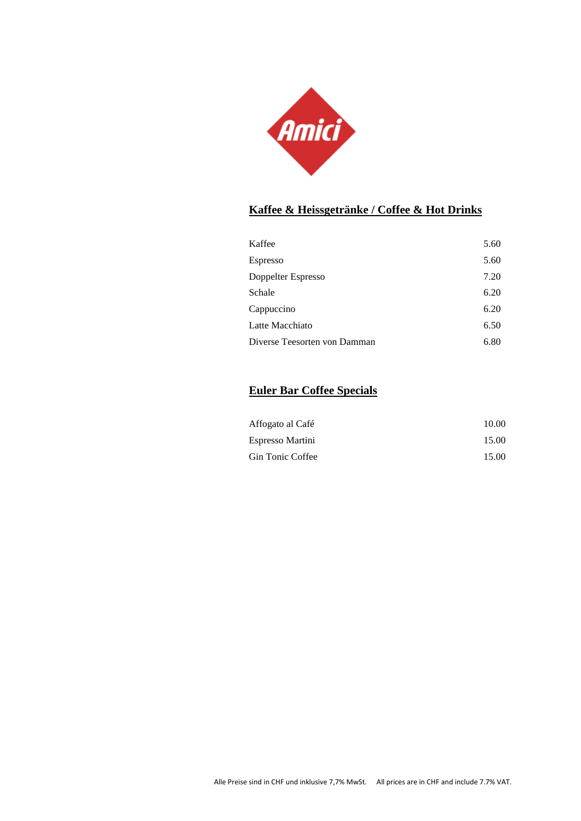

### **Kaffee & Heissgetränke / Coffee & Hot Drinks**

| Kaffee                       | 5.60 |
|------------------------------|------|
| Espresso                     | 5.60 |
| Doppelter Espresso           | 7.20 |
| Schale                       | 6.20 |
| Cappuccino                   | 6.20 |
| Latte Macchiato              | 6.50 |
| Diverse Teesorten von Damman | 6.80 |

### **Euler Bar Coffee Specials**

| Affogato al Café | 10.00 |
|------------------|-------|
| Espresso Martini | 15.00 |
| Gin Tonic Coffee | 15.00 |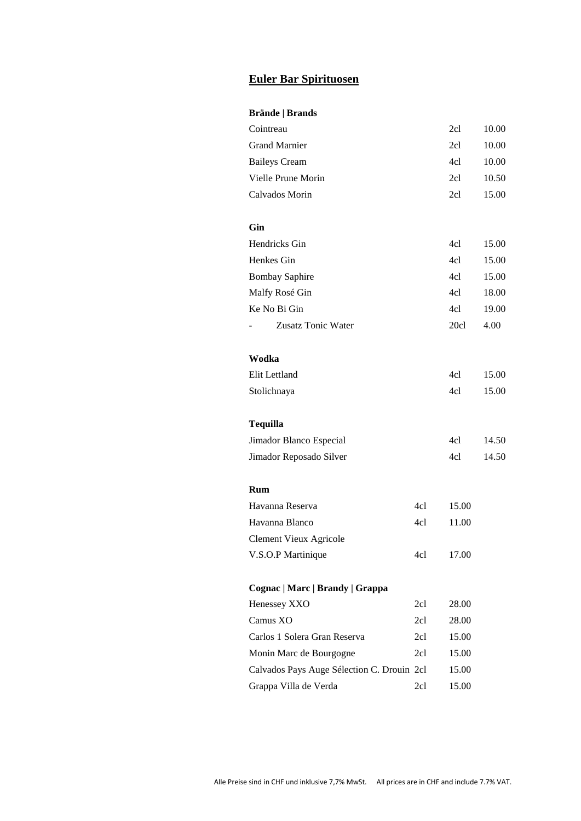### **Euler Bar Spirituosen**

#### **Brände | Brands**

| Cointreau                                  |     | 2cl   | 10.00 |
|--------------------------------------------|-----|-------|-------|
| <b>Grand Marnier</b>                       |     | 2c1   | 10.00 |
| <b>Baileys Cream</b>                       |     | 4cl   | 10.00 |
| Vielle Prune Morin                         |     | 2cl   | 10.50 |
| Calvados Morin                             |     | 2cl   | 15.00 |
|                                            |     |       |       |
| Gin                                        |     |       |       |
| Hendricks Gin                              |     | 4cl   | 15.00 |
| Henkes Gin                                 |     | 4cl   | 15.00 |
| <b>Bombay Saphire</b>                      |     | 4cl   | 15.00 |
| Malfy Rosé Gin                             |     | 4cl   | 18.00 |
| Ke No Bi Gin                               |     | 4cl   | 19.00 |
| Zusatz Tonic Water                         |     | 20c1  | 4.00  |
|                                            |     |       |       |
| Wodka                                      |     |       |       |
| Elit Lettland                              |     | 4cl   | 15.00 |
| Stolichnaya                                |     | 4cl   | 15.00 |
|                                            |     |       |       |
| <b>Tequilla</b>                            |     |       |       |
| Jimador Blanco Especial                    |     | 4cl   | 14.50 |
| Jimador Reposado Silver                    |     | 4cl   | 14.50 |
|                                            |     |       |       |
| Rum                                        |     |       |       |
| Havanna Reserva                            | 4cl | 15.00 |       |
| Havanna Blanco                             | 4cl | 11.00 |       |
| <b>Clement Vieux Agricole</b>              |     |       |       |
| V.S.O.P Martinique                         | 4cl | 17.00 |       |
|                                            |     |       |       |
| Cognac   Marc   Brandy   Grappa            |     |       |       |
| Henessey XXO                               | 2cl | 28.00 |       |
| Camus XO                                   | 2cl | 28.00 |       |
| Carlos 1 Solera Gran Reserva               | 2cl | 15.00 |       |
| Monin Marc de Bourgogne                    | 2cl | 15.00 |       |
| Calvados Pays Auge Sélection C. Drouin 2cl |     | 15.00 |       |
|                                            |     |       |       |
| Grappa Villa de Verda                      | 2cl | 15.00 |       |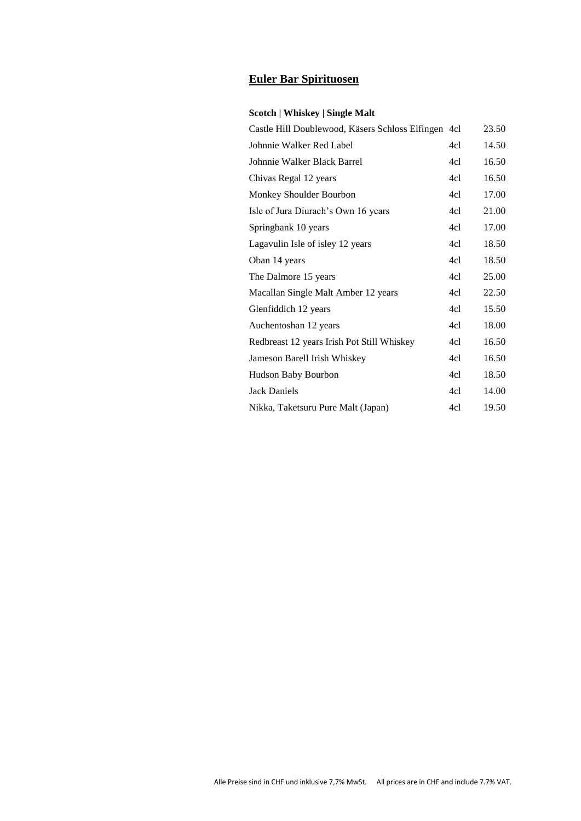### **Euler Bar Spirituosen**

#### **Scotch | Whiskey | Single Malt**

| Castle Hill Doublewood, Käsers Schloss Elfingen 4cl |     | 23.50 |
|-----------------------------------------------------|-----|-------|
| Johnnie Walker Red Label                            | 4cl | 14.50 |
| Johnnie Walker Black Barrel                         | 4cl | 16.50 |
| Chivas Regal 12 years                               | 4c1 | 16.50 |
| Monkey Shoulder Bourbon                             | 4cl | 17.00 |
| Isle of Jura Diurach's Own 16 years                 | 4cl | 21.00 |
| Springbank 10 years                                 | 4cl | 17.00 |
| Lagavulin Isle of isley 12 years                    | 4cl | 18.50 |
| Oban 14 years                                       | 4cl | 18.50 |
| The Dalmore 15 years                                | 4cl | 25.00 |
| Macallan Single Malt Amber 12 years                 | 4cl | 22.50 |
| Glenfiddich 12 years                                | 4cl | 15.50 |
| Auchentoshan 12 years                               | 4cl | 18.00 |
| Redbreast 12 years Irish Pot Still Whiskey          | 4cl | 16.50 |
| Jameson Barell Irish Whiskey                        | 4cl | 16.50 |
| Hudson Baby Bourbon                                 | 4cl | 18.50 |
| <b>Jack Daniels</b>                                 | 4cl | 14.00 |
| Nikka, Taketsuru Pure Malt (Japan)                  | 4cl | 19.50 |